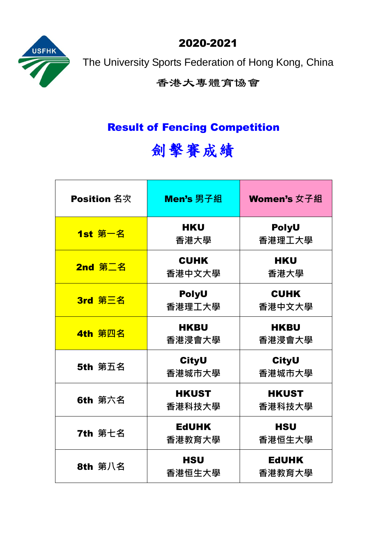2020-2021



The University Sports Federation of Hong Kong, China

香港大專體育協會

# Result of Fencing Competition

劍擊賽成績

| <b>Position 名次</b> | Men's 男子組              | Women's 女子組            |  |  |  |  |  |
|--------------------|------------------------|------------------------|--|--|--|--|--|
| 1st 第一名            | <b>HKU</b><br>香港大學     | <b>PolyU</b><br>香港理工大學 |  |  |  |  |  |
| 2nd 第二名            | <b>CUHK</b><br>香港中文大學  | <b>HKU</b><br>香港大學     |  |  |  |  |  |
| 3rd 第三名            | <b>PolyU</b><br>香港理工大學 | <b>CUHK</b><br>香港中文大學  |  |  |  |  |  |
| 4th 第四名            | <b>HKBU</b><br>香港浸會大學  | <b>HKBU</b><br>香港浸會大學  |  |  |  |  |  |
| 5th 第五名            | <b>CityU</b><br>香港城市大學 | <b>CityU</b><br>香港城市大學 |  |  |  |  |  |
| <b>6th</b> 第六名     | <b>HKUST</b><br>香港科技大學 | <b>HKUST</b><br>香港科技大學 |  |  |  |  |  |
| <b>7th 第七名</b>     | <b>EdUHK</b><br>香港教育大學 | <b>HSU</b><br>香港恒生大學   |  |  |  |  |  |
| <b>8th</b> 第八名     | <b>HSU</b><br>香港恒生大學   | <b>EdUHK</b><br>香港教育大學 |  |  |  |  |  |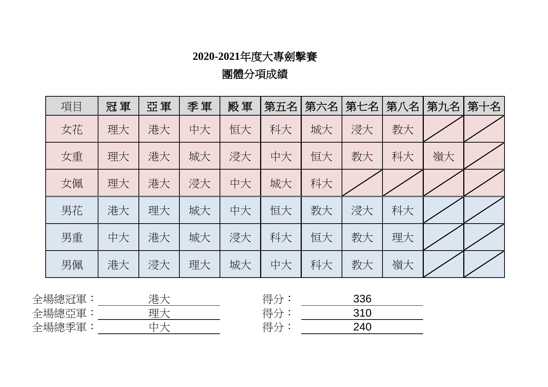團體分項成績

| 項目 | 冠軍 | 亞軍 | 季軍 | 殿軍 | 第五名 | 第六名 | 第七名 | 第八名 | 第九名 | 第十名 |
|----|----|----|----|----|-----|-----|-----|-----|-----|-----|
| 女花 | 理大 | 港大 | 中大 | 恒大 | 科大  | 城大  | 浸大  | 教大  |     |     |
| 女重 | 理大 | 港大 | 城大 | 浸大 | 中大  | 恒大  | 教大  | 科大  | 嶺大  |     |
| 女佩 | 理大 | 港大 | 浸大 | 中大 | 城大  | 科大  |     |     |     |     |
| 男花 | 港大 | 理大 | 城大 | 中大 | 恒大  | 教大  | 浸大  | 科大  |     |     |
| 男重 | 中大 | 港大 | 城大 | 浸大 | 科大  | 恒大  | 教大  | 理大  |     |     |
| 男佩 | 港大 | 浸大 | 理大 | 城大 | 中大  | 科大  | 教大  | 嶺大  |     |     |

| $r \mapsto$<br>申<br>╱╾┷┑ | . . | , —<br>≔   | 336 |
|--------------------------|-----|------------|-----|
| 亡与之<br>全場總亞軍             | 珃   | . —<br>≔י  | つイア |
| 季軍<br>╱┭┻┑<br>7. [2∆     | --  | / ロ<br>コンマ | 240 |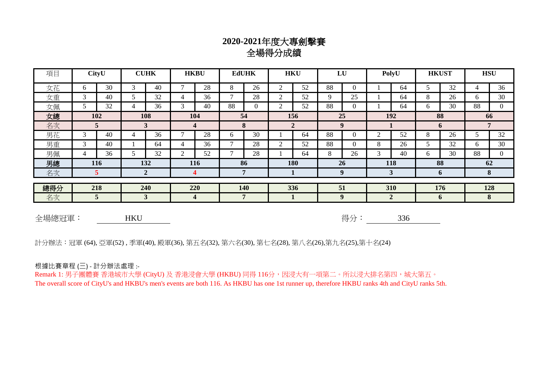#### **2020-2021**年度大專劍擊賽 全場得分成績

| 項目  |    | <b>CityU</b>   |            | <b>CUHK</b> | <b>HKBU</b>  |     | <b>EdUHK</b>   |                     | <b>HKU</b>     |    | LU |                  | PolyU            |             | <b>HKUST</b> |              | <b>HSU</b> |                |
|-----|----|----------------|------------|-------------|--------------|-----|----------------|---------------------|----------------|----|----|------------------|------------------|-------------|--------------|--------------|------------|----------------|
| 女花  | 6. | 30             | 3          | 40          | $\mathbf{r}$ | 28  | 8              | 26                  | $\overline{2}$ | 52 | 88 | 0                |                  | 64          |              | 32           | 4          | 36             |
| 女重  | 3  | 40             |            | 32          | 4            | 36  | $\mathbf{r}$   | 28                  | $\overline{2}$ | 52 | 9  | 25               |                  | 64          | 8            | 26           | 6.         | 30             |
| 女佩  | 5  | 32             | 4          | 36          | 3            | 40  | 88             | $\Omega$            | $\overline{2}$ | 52 | 88 | 0                |                  | 64          | 6            | 30           | 88         | $\overline{0}$ |
| 女總  |    | 102            | 108<br>104 |             | 54<br>156    |     | 25<br>192      |                     | 88             |    | 66 |                  |                  |             |              |              |            |                |
| 名次  |    | 5              |            | 3           |              | 4   |                | 8<br>$\overline{2}$ |                | 9  |    |                  |                  | $\mathbf b$ |              | $\mathbf{r}$ |            |                |
| 男花  | 3  | 40             | 4          | 36          | ⇁            | 28  | 6              | 30                  |                | 64 | 88 | $\boldsymbol{0}$ | 2                | 52          | 8            | 26           | 5          | 32             |
| 男重  | 3  | 40             |            | 64          | 4            | 36  |                | 28                  | 2              | 52 | 88 | $\overline{0}$   | 8                | 26          | 5            | 32           | 6.         | 30             |
| 男佩  | 4  | 36             |            | 32          | 2            | 52  |                | 28                  |                | 64 | 8  | 26               | 3                | 40          | 6            | 30           | 88         | $\overline{0}$ |
| 男總  |    | 116            |            | 132         | 116          |     | 86             |                     | 180            |    | 26 |                  | 118              |             | 88           |              | 62         |                |
| 名次  |    | 5 <sup>1</sup> |            | 2           |              | 4   | $\mathbf{z}$   |                     | 9              |    |    | 3                |                  | $\mathbf b$ |              | 8            |            |                |
| 總得分 |    | 218            |            | 240         |              | 220 | 140            |                     | 336            |    | 51 |                  | 310              |             | 176          |              | 128        |                |
| 名次  |    | 5 <sup>5</sup> |            | 3           |              | 4   | $\overline{7}$ |                     |                |    | 9  |                  | $\boldsymbol{2}$ |             | 6            |              | 8          |                |

全場總冠軍:

HKU いっきょう こうしょう いっちょう いちょう 得分: ちょうしょう 336

計分辦法︰冠軍 (64), 亞軍(52) , 季軍(40), 殿軍(36), 第五名(32), 第六名(30), 第七名(28), 第八名(26),第九名(25),第十名(24)

根據比賽章程 (三) - 計分辦法處理 :-

Remark 1: 男子團體賽 香港城市大學 (CityU) 及 香港浸會大學 (HKBU) 同得 116分,因浸大有一項第二。所以浸大排名第四,城大第五。 The overall score of CityU's and HKBU's men's events are both 116. As HKBU has one 1st runner up, therefore HKBU ranks 4th and CityU ranks 5th.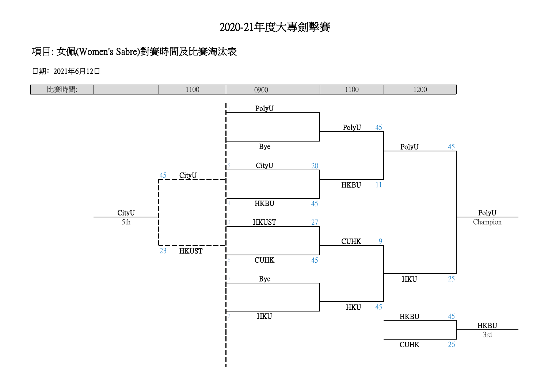#### 項目: 女佩(Women's Sabre)對賽時間及比賽淘汰表

日期﹕2021年6月12日

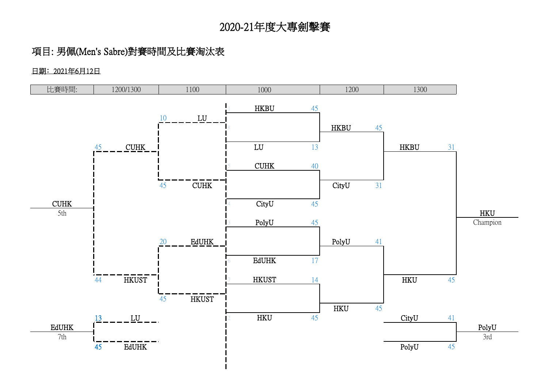### 項目: 男佩(Men's Sabre)對賽時間及比賽淘汰表

日期﹕2021年6月12日

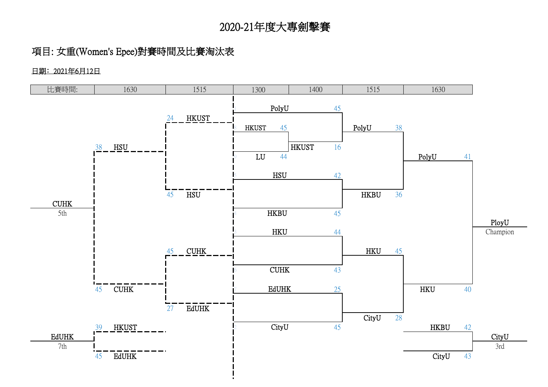### 項目: 女重(Women's Epee)對賽時間及比賽淘汰表

日期﹕2021年6月12日

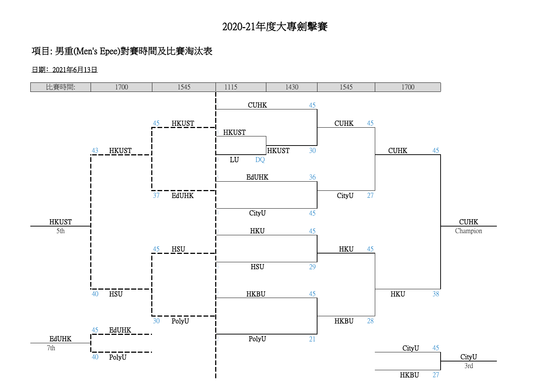#### 項目: 男重(Men's Epee)對賽時間及比賽淘汰表

日期﹕2021年6月13日

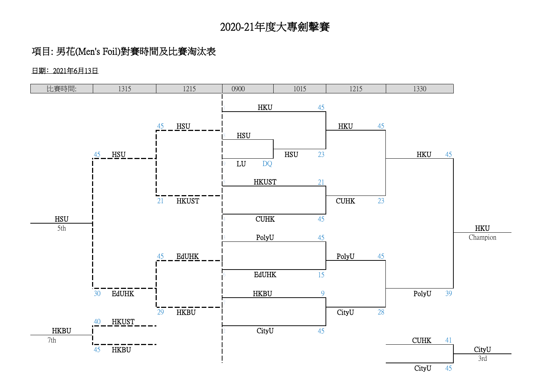#### 項目: 男花(Men's Foil)對賽時間及比賽淘汰表

日期﹕2021年6月13日